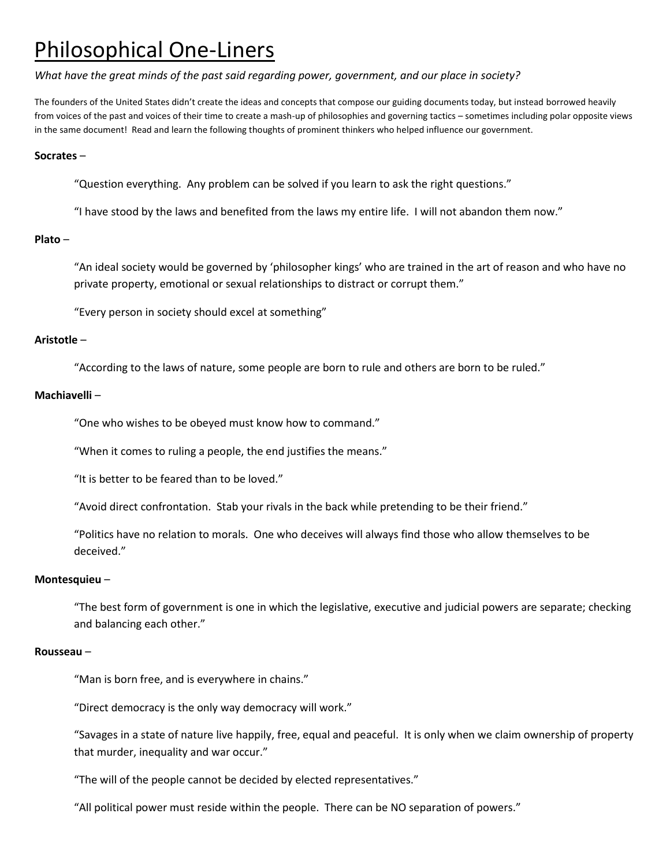# Philosophical One-Liners

# *What have the great minds of the past said regarding power, government, and our place in society?*

The founders of the United States didn't create the ideas and concepts that compose our guiding documents today, but instead borrowed heavily from voices of the past and voices of their time to create a mash-up of philosophies and governing tactics – sometimes including polar opposite views in the same document! Read and learn the following thoughts of prominent thinkers who helped influence our government.

# **Socrates** –

"Question everything. Any problem can be solved if you learn to ask the right questions."

"I have stood by the laws and benefited from the laws my entire life. I will not abandon them now."

# **Plato** –

"An ideal society would be governed by 'philosopher kings' who are trained in the art of reason and who have no private property, emotional or sexual relationships to distract or corrupt them."

"Every person in society should excel at something"

# **Aristotle** –

"According to the laws of nature, some people are born to rule and others are born to be ruled."

# **Machiavelli** –

"One who wishes to be obeyed must know how to command."

"When it comes to ruling a people, the end justifies the means."

"It is better to be feared than to be loved."

"Avoid direct confrontation. Stab your rivals in the back while pretending to be their friend."

"Politics have no relation to morals. One who deceives will always find those who allow themselves to be deceived."

## **Montesquieu** –

"The best form of government is one in which the legislative, executive and judicial powers are separate; checking and balancing each other."

## **Rousseau** –

"Man is born free, and is everywhere in chains."

"Direct democracy is the only way democracy will work."

"Savages in a state of nature live happily, free, equal and peaceful. It is only when we claim ownership of property that murder, inequality and war occur."

"The will of the people cannot be decided by elected representatives."

"All political power must reside within the people. There can be NO separation of powers."